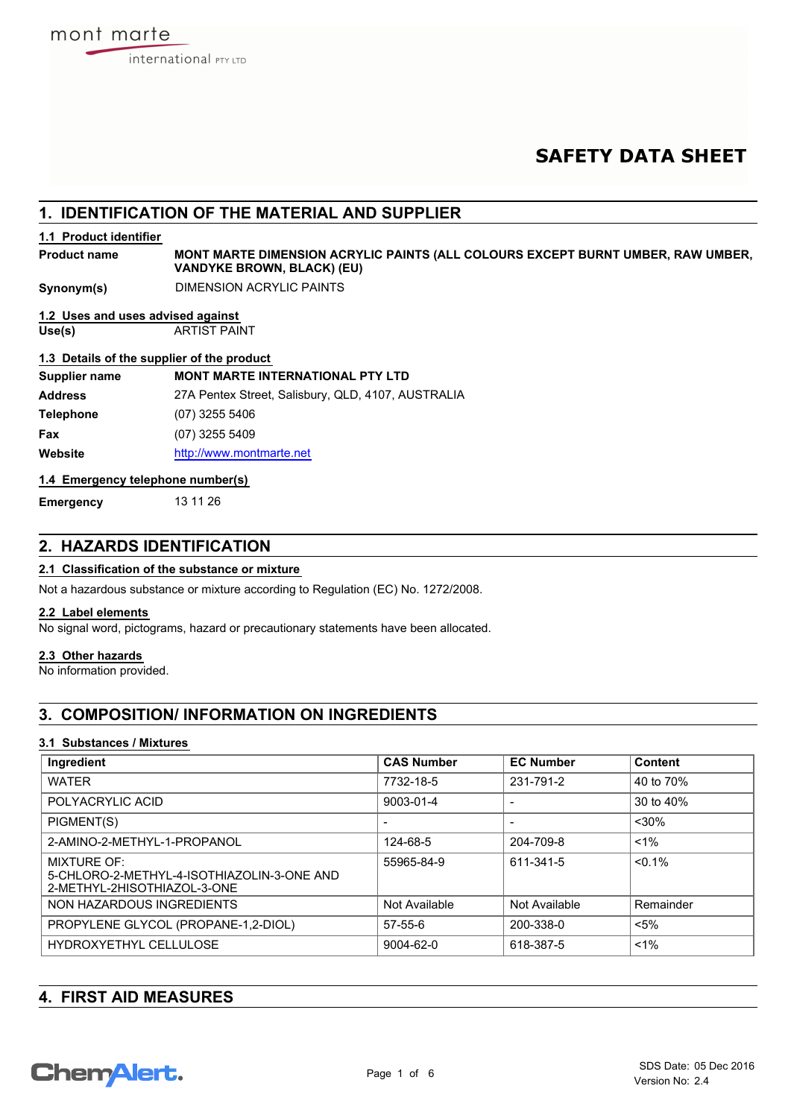# **SAFETY DATA SHEET**

## **1. IDENTIFICATION OF THE MATERIAL AND SUPPLIER**

## **1.1 Product identifier**

**MONT MARTE DIMENSION ACRYLIC PAINTS (ALL COLOURS EXCEPT BURNT UMBER, RAW UMBER, VANDYKE BROWN, BLACK) (EU) Product name**

**Synonym(s)** DIMENSION ACRYLIC PAINTS

## **1.2 Uses and uses advised against**

**Use(s)** ARTIST PAINT

## **1.3 Details of the supplier of the product**

| Supplier name    | <b>MONT MARTE INTERNATIONAL PTY LTD</b>            |
|------------------|----------------------------------------------------|
| <b>Address</b>   | 27A Pentex Street, Salisbury, QLD, 4107, AUSTRALIA |
| <b>Telephone</b> | $(07)$ 3255 5406                                   |
| Fax              | $(07)$ 3255 5409                                   |
| Website          | http://www.montmarte.net                           |

## **1.4 Emergency telephone number(s)**

**Emergency** 13 11 26

## **2. HAZARDS IDENTIFICATION**

## **2.1 Classification of the substance or mixture**

Not a hazardous substance or mixture according to Regulation (EC) No. 1272/2008.

## **2.2 Label elements**

No signal word, pictograms, hazard or precautionary statements have been allocated.

## **2.3 Other hazards**

No information provided.

## **3. COMPOSITION/ INFORMATION ON INGREDIENTS**

## **3.1 Substances / Mixtures**

| Ingredient                                                                                      | <b>CAS Number</b> | <b>EC Number</b> | <b>Content</b> |
|-------------------------------------------------------------------------------------------------|-------------------|------------------|----------------|
| <b>WATER</b>                                                                                    | 7732-18-5         | 231-791-2        | 40 to 70%      |
| POLYACRYLIC ACID                                                                                | 9003-01-4         |                  | 30 to 40%      |
| PIGMENT(S)                                                                                      |                   |                  | $<$ 30%        |
| 2-AMINO-2-METHYL-1-PROPANOL                                                                     | 124-68-5          | 204-709-8        | $< 1\%$        |
| <b>MIXTURE OF:</b><br>5-CHLORO-2-METHYL-4-ISOTHIAZOLIN-3-ONE AND<br>2-METHYL-2HISOTHIAZOL-3-ONE | 55965-84-9        | 611-341-5        | $< 0.1\%$      |
| NON HAZARDOUS INGREDIENTS                                                                       | Not Available     | Not Available    | Remainder      |
| PROPYLENE GLYCOL (PROPANE-1,2-DIOL)                                                             | $57 - 55 - 6$     | 200-338-0        | $< 5\%$        |
| HYDROXYETHYL CELLULOSE                                                                          | 9004-62-0         | 618-387-5        | $< 1\%$        |

| <b>4. FIRST AID MEASURES</b> |  |  |
|------------------------------|--|--|
|                              |  |  |

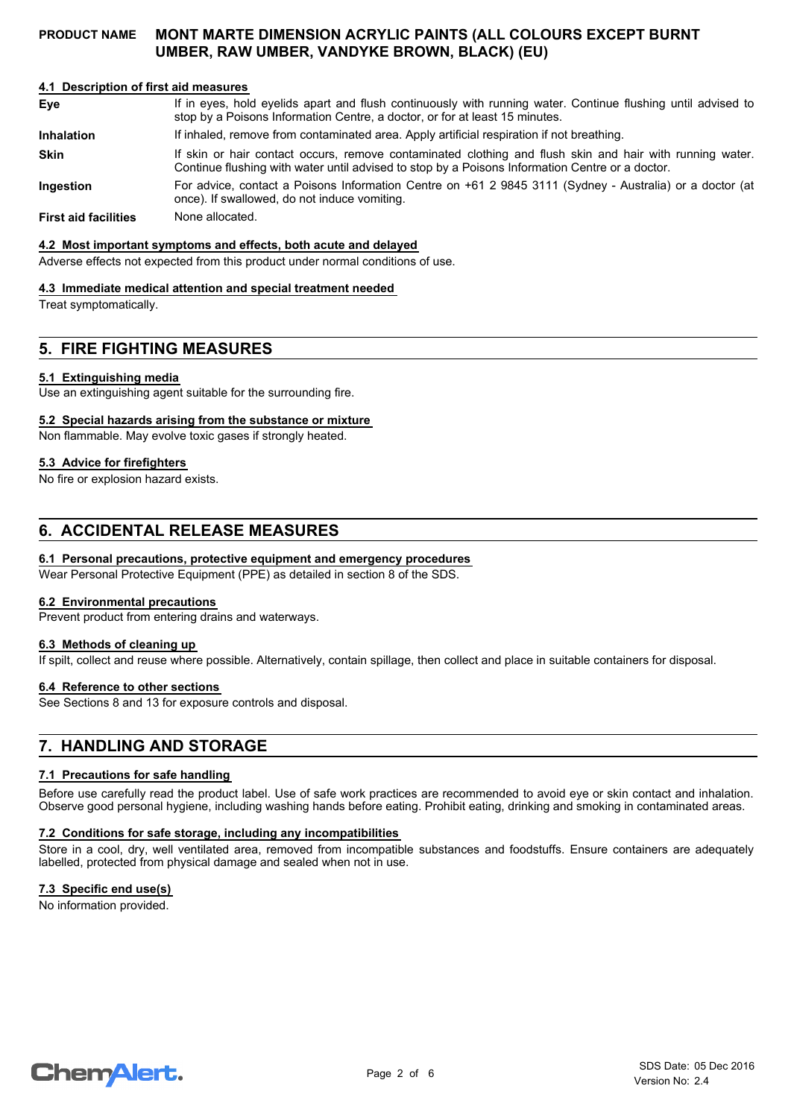## **4.1 Description of first aid measures**

If in eyes, hold eyelids apart and flush continuously with running water. Continue flushing until advised to stop by a Poisons Information Centre, a doctor, or for at least 15 minutes. **Eye Inhalation** If inhaled, remove from contaminated area. Apply artificial respiration if not breathing. If skin or hair contact occurs, remove contaminated clothing and flush skin and hair with running water. Continue flushing with water until advised to stop by a Poisons Information Centre or a doctor. **Skin** For advice, contact a Poisons Information Centre on +61 2 9845 3111 (Sydney - Australia) or a doctor (at once). If swallowed, do not induce vomiting. **Ingestion**

**First aid facilities** None allocated.

#### **4.2 Most important symptoms and effects, both acute and delayed**

Adverse effects not expected from this product under normal conditions of use.

#### **4.3 Immediate medical attention and special treatment needed**

Treat symptomatically.

## **5. FIRE FIGHTING MEASURES**

#### **5.1 Extinguishing media**

Use an extinguishing agent suitable for the surrounding fire.

#### **5.2 Special hazards arising from the substance or mixture**

Non flammable. May evolve toxic gases if strongly heated.

## **5.3 Advice for firefighters**

No fire or explosion hazard exists.

## **6. ACCIDENTAL RELEASE MEASURES**

## **6.1 Personal precautions, protective equipment and emergency procedures**

Wear Personal Protective Equipment (PPE) as detailed in section 8 of the SDS.

## **6.2 Environmental precautions**

Prevent product from entering drains and waterways.

#### **6.3 Methods of cleaning up**

If spilt, collect and reuse where possible. Alternatively, contain spillage, then collect and place in suitable containers for disposal.

#### **6.4 Reference to other sections**

See Sections 8 and 13 for exposure controls and disposal.

## **7. HANDLING AND STORAGE**

## **7.1 Precautions for safe handling**

Before use carefully read the product label. Use of safe work practices are recommended to avoid eye or skin contact and inhalation. Observe good personal hygiene, including washing hands before eating. Prohibit eating, drinking and smoking in contaminated areas.

### **7.2 Conditions for safe storage, including any incompatibilities**

Store in a cool, dry, well ventilated area, removed from incompatible substances and foodstuffs. Ensure containers are adequately labelled, protected from physical damage and sealed when not in use.

#### **7.3 Specific end use(s)**

No information provided.

# **ChemAlert.**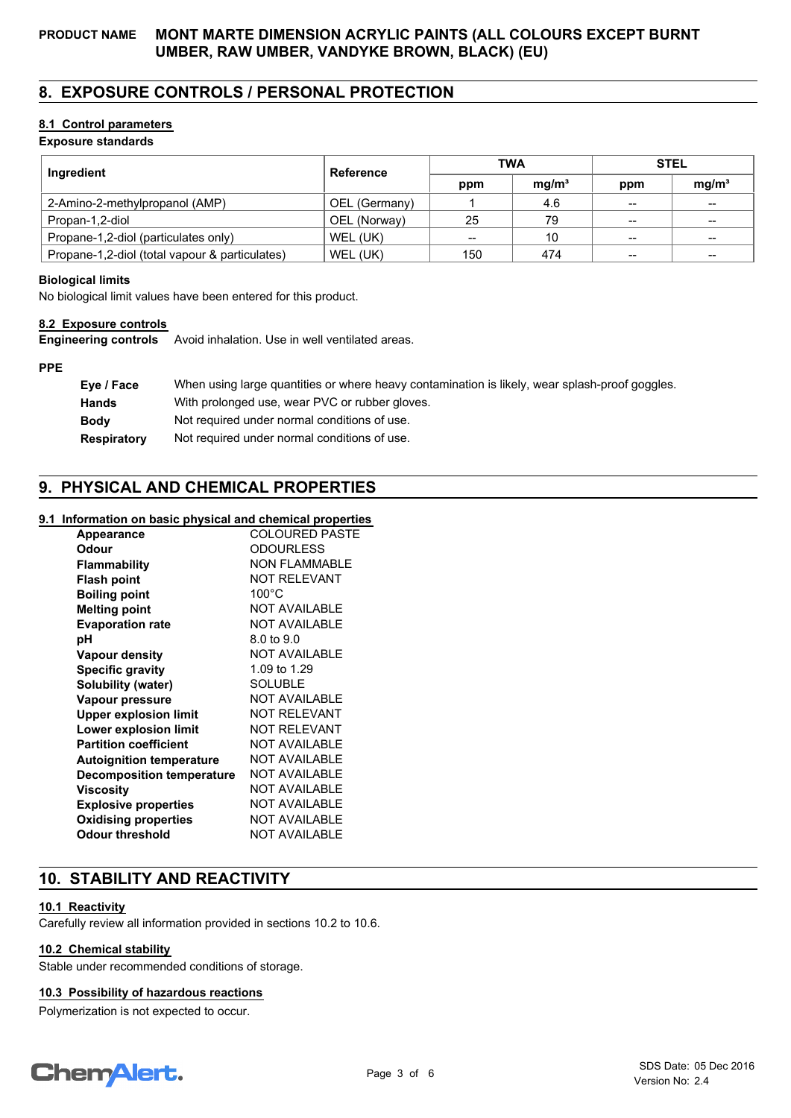## **8. EXPOSURE CONTROLS / PERSONAL PROTECTION**

## **8.1 Control parameters**

## **Exposure standards**

| Ingredient                                     | Reference     | <b>TWA</b> |                   | <b>STEL</b> |                   |
|------------------------------------------------|---------------|------------|-------------------|-------------|-------------------|
|                                                |               | ppm        | mq/m <sup>3</sup> | ppm         | mq/m <sup>3</sup> |
| 2-Amino-2-methylpropanol (AMP)                 | OEL (Germany) |            | 4.6               | --          | $\hspace{0.05cm}$ |
| Propan-1,2-diol                                | OEL (Norway)  | 25         | 79                | --          | $- -$             |
| Propane-1,2-diol (particulates only)           | WEL (UK)      | $- -$      | 10                | --          | $- -$             |
| Propane-1,2-diol (total vapour & particulates) | WEL (UK)      | 150        | 474               | --          | --                |

## **Biological limits**

No biological limit values have been entered for this product.

## **8.2 Exposure controls**

**Engineering controls** Avoid inhalation. Use in well ventilated areas.

## **PPE**

| Eye / Face         | When using large quantities or where heavy contamination is likely, wear splash-proof goggles. |
|--------------------|------------------------------------------------------------------------------------------------|
| <b>Hands</b>       | With prolonged use, wear PVC or rubber gloves.                                                 |
| <b>Body</b>        | Not required under normal conditions of use.                                                   |
| <b>Respiratory</b> | Not required under normal conditions of use.                                                   |

## **9. PHYSICAL AND CHEMICAL PROPERTIES**

## **9.1 Information on basic physical and chemical properties**

| <b>Appearance</b>                | <b>COLOURED PASTE</b> |
|----------------------------------|-----------------------|
| Odour                            | <b>ODOURLESS</b>      |
| Flammability                     | <b>NON FLAMMABLE</b>  |
| <b>Flash point</b>               | <b>NOT RELEVANT</b>   |
| <b>Boiling point</b>             | $100^{\circ}$ C       |
| <b>Melting point</b>             | <b>NOT AVAILABLE</b>  |
| <b>Evaporation rate</b>          | <b>NOT AVAILABLE</b>  |
| рH                               | 8.0 to 9.0            |
| Vapour density                   | <b>NOT AVAILABLE</b>  |
| <b>Specific gravity</b>          | 1.09 to 1.29          |
| Solubility (water)               | SOLUBLE               |
| Vapour pressure                  | <b>NOT AVAILABLE</b>  |
| <b>Upper explosion limit</b>     | <b>NOT RELEVANT</b>   |
| Lower explosion limit            | <b>NOT RELEVANT</b>   |
| <b>Partition coefficient</b>     | <b>NOT AVAILABLE</b>  |
| <b>Autoignition temperature</b>  | <b>NOT AVAILABLE</b>  |
| <b>Decomposition temperature</b> | <b>NOT AVAILABLE</b>  |
| Viscosity                        | <b>NOT AVAILABLE</b>  |
| <b>Explosive properties</b>      | <b>NOT AVAILABLE</b>  |
| <b>Oxidising properties</b>      | <b>NOT AVAILABLE</b>  |
| <b>Odour threshold</b>           | <b>NOT AVAILABLE</b>  |

## **10. STABILITY AND REACTIVITY**

## **10.1 Reactivity**

Carefully review all information provided in sections 10.2 to 10.6.

## **10.2 Chemical stability**

Stable under recommended conditions of storage.

## **10.3 Possibility of hazardous reactions**

Polymerization is not expected to occur.

# **Chemalert.**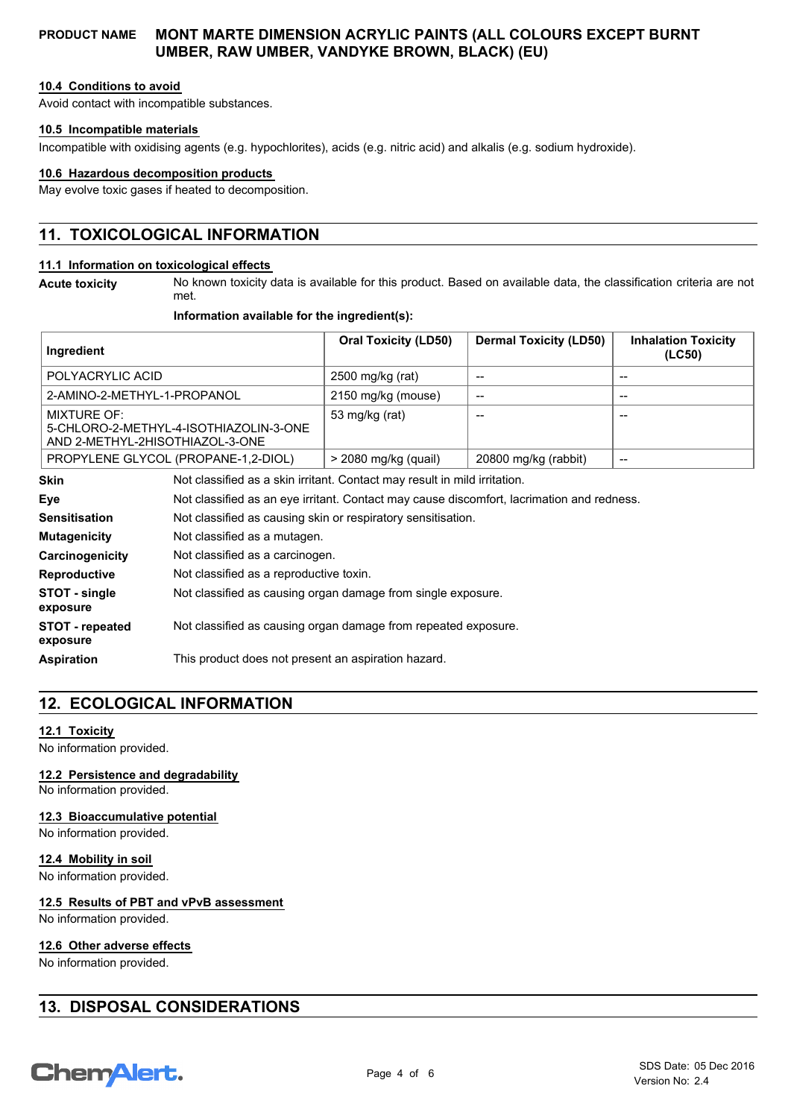## **10.4 Conditions to avoid**

Avoid contact with incompatible substances.

#### **10.5 Incompatible materials**

Incompatible with oxidising agents (e.g. hypochlorites), acids (e.g. nitric acid) and alkalis (e.g. sodium hydroxide).

#### **10.6 Hazardous decomposition products**

May evolve toxic gases if heated to decomposition.

## **11. TOXICOLOGICAL INFORMATION**

## **11.1 Information on toxicological effects**

**Acute toxicity**

No known toxicity data is available for this product. Based on available data, the classification criteria are not met.

## **Information available for the ingredient(s):**

| Ingredient                                                                                       |  | <b>Oral Toxicity (LD50)</b> | <b>Dermal Toxicity (LD50)</b> | <b>Inhalation Toxicity</b><br>(LC50) |
|--------------------------------------------------------------------------------------------------|--|-----------------------------|-------------------------------|--------------------------------------|
| POLYACRYLIC ACID                                                                                 |  | 2500 mg/kg (rat)            | --                            | --                                   |
| 2-AMINO-2-METHYL-1-PROPANOL                                                                      |  | 2150 mg/kg (mouse)          | --                            | --                                   |
| <b>MIXTURE OF:</b><br>5-CHLORO-2-METHYL-4-ISOTHIAZOLIN-3-ONE<br>AND 2-METHYL-2HISOTHIAZOL-3-ONE  |  | 53 mg/kg (rat)              | --                            | --                                   |
| PROPYLENE GLYCOL (PROPANE-1,2-DIOL)                                                              |  | $>$ 2080 mg/kg (quail)      | 20800 mg/kg (rabbit)          | --                                   |
| <b>Skin</b><br>Not classified as a skin irritant. Contact may result in mild irritation.         |  |                             |                               |                                      |
| Eye<br>Not classified as an eye irritant. Contact may cause discomfort, lacrimation and redness. |  |                             |                               |                                      |
| <b>Sensitisation</b><br>Not classified as causing skin or respiratory sensitisation.             |  |                             |                               |                                      |

| <b>Mutagenicity</b>         | Not classified as a mutagen.                                   |
|-----------------------------|----------------------------------------------------------------|
| Carcinogenicity             | Not classified as a carcinogen.                                |
| <b>Reproductive</b>         | Not classified as a reproductive toxin.                        |
| STOT - single<br>exposure   | Not classified as causing organ damage from single exposure.   |
| STOT - repeated<br>exposure | Not classified as causing organ damage from repeated exposure. |
| <b>Aspiration</b>           | This product does not present an aspiration hazard.            |

## **12. ECOLOGICAL INFORMATION**

## **12.1 Toxicity**

No information provided.

#### **12.2 Persistence and degradability**

No information provided.

## **12.3 Bioaccumulative potential**

No information provided.

#### **12.4 Mobility in soil**

No information provided.

#### **12.5 Results of PBT and vPvB assessment**

No information provided.

#### **12.6 Other adverse effects**

No information provided.

## **13. DISPOSAL CONSIDERATIONS**

# **ChemAlert.**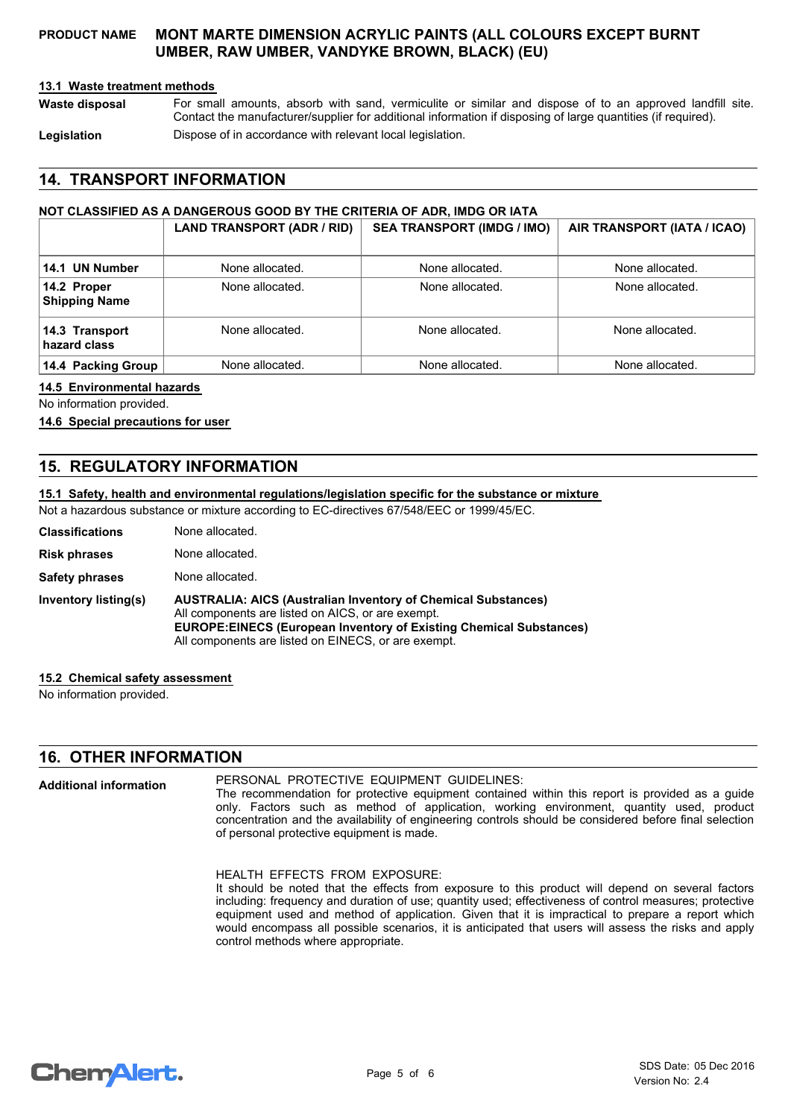## **13.1 Waste treatment methods**

For small amounts, absorb with sand, vermiculite or similar and dispose of to an approved landfill site. Contact the manufacturer/supplier for additional information if disposing of large quantities (if required). **Waste disposal** Legislation **Dispose of in accordance with relevant local legislation.** 

## **14. TRANSPORT INFORMATION**

## **NOT CLASSIFIED AS A DANGEROUS GOOD BY THE CRITERIA OF ADR, IMDG OR IATA**

|                                     | LAND TRANSPORT (ADR / RID) | <b>SEA TRANSPORT (IMDG / IMO)</b> | AIR TRANSPORT (IATA / ICAO) |
|-------------------------------------|----------------------------|-----------------------------------|-----------------------------|
| 14.1 UN Number                      | None allocated.            | None allocated.                   | None allocated.             |
| 14.2 Proper<br><b>Shipping Name</b> | None allocated.            | None allocated.                   | None allocated.             |
| 14.3 Transport<br>hazard class      | None allocated.            | None allocated.                   | None allocated.             |
| 14.4 Packing Group                  | None allocated.            | None allocated.                   | None allocated.             |

#### **14.5 Environmental hazards**

No information provided.

## **14.6 Special precautions for user**

## **15. REGULATORY INFORMATION**

#### **15.1 Safety, health and environmental regulations/legislation specific for the substance or mixture**

Not a hazardous substance or mixture according to EC-directives 67/548/EEC or 1999/45/EC.

| <b>Classifications</b> | None allocated.                                                                                                                                                                                                                                               |
|------------------------|---------------------------------------------------------------------------------------------------------------------------------------------------------------------------------------------------------------------------------------------------------------|
| <b>Risk phrases</b>    | None allocated.                                                                                                                                                                                                                                               |
| <b>Safety phrases</b>  | None allocated.                                                                                                                                                                                                                                               |
| Inventory listing(s)   | <b>AUSTRALIA: AICS (Australian Inventory of Chemical Substances)</b><br>All components are listed on AICS, or are exempt.<br><b>EUROPE:EINECS (European Inventory of Existing Chemical Substances)</b><br>All components are listed on EINECS, or are exempt. |

#### **15.2 Chemical safety assessment**

No information provided.

**Additional information**

## **16. OTHER INFORMATION**

## PERSONAL PROTECTIVE EQUIPMENT GUIDELINES:

The recommendation for protective equipment contained within this report is provided as a guide only. Factors such as method of application, working environment, quantity used, product concentration and the availability of engineering controls should be considered before final selection of personal protective equipment is made.

HEALTH EFFECTS FROM EXPOSURE: It should be noted that the effects from exposure to this product will depend on several factors including: frequency and duration of use; quantity used; effectiveness of control measures; protective equipment used and method of application. Given that it is impractical to prepare a report which would encompass all possible scenarios, it is anticipated that users will assess the risks and apply control methods where appropriate.

```
ChemAlert.
```